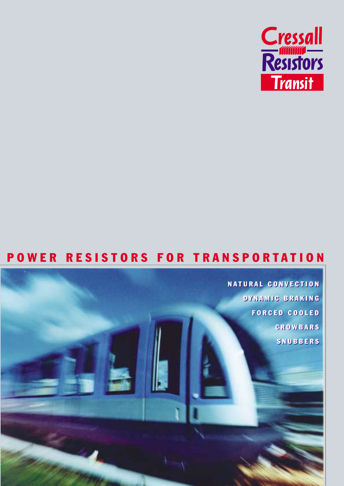

### POWER RESISTORS FOR TRANSPORTATION

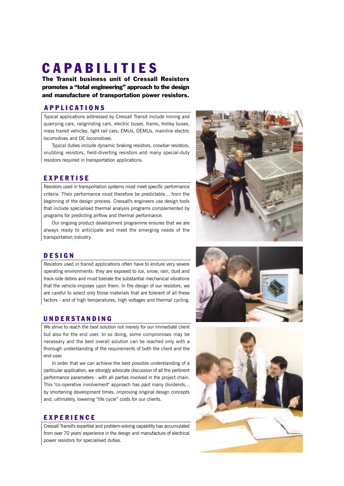# CAPABILITIES

The Transit business unit of Cressall Resistors promotes a "total engineering" approach to the design and manufacture of transportation power resistors.

### APPLICATIONS

Typical applications addressed by Cressall Transit include mining and quarrying cars, railgrinding cars, electric buses, trams, trolley buses, mass transit vehicles, light rail cars, EMUs, DEMUs, mainline electric locomotives and DE locomotives.

Typical duties include dynamic braking resistors, crowbar resistors, snubbing resistors, field-diverting resistors and many special-duty resistors required in transportation applications.

### EXPERTISE

Resistors used in transportation systems must meet specific performance criteria. Their performance must therefore be predictable… from the beginning of the design process. Cressall's engineers use design tools that include specialised thermal analysis programs complemented by programs for predicting airflow and thermal performance.

Our ongoing product development programme ensures that we are always ready to anticipate and meet the emerging needs of the transportation industry.

### DESIGN

Resistors used in transit applications often have to endure very severe operating environments: they are exposed to ice, snow, rain, dust and track-side debris and must tolerate the substantial mechanical vibrations that the vehicle imposes upon them. In the design of our resistors, we are careful to select only those materials that are tolerant of all these factors - and of high temperatures, high voltages and thermal cycling.

### UNDERSTANDING

We strive to reach the best solution not merely for our immediate client but also for the end user. In so doing, some compromises may be necessary and the best overall solution can be reached only with a thorough understanding of the requirements of both the client and the end-user.

In order that we can achieve the best possible understanding of a particular application, we strongly advocate discussion of all the pertinent performance parameters - with all parties involved in the project chain. This "co-operative involvement" approach has paid many dividends... by shortening development times, improving original design concepts and, ultimately, lowering "life cycle" costs for our clients.

#### EXPERIENCE

Cressall Transit's expertise and problem-solving capability has accumulated from over 70 years' experience in the design and manufacture of electrical power resistors for specialised duties.



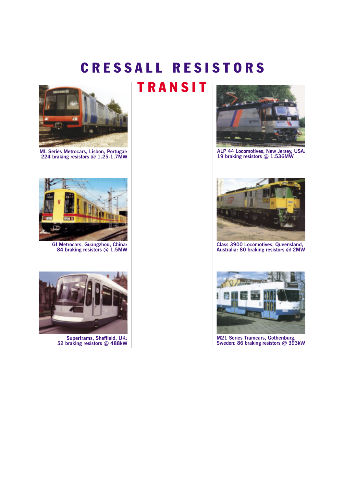## CRESSALL RESISTORS



**ML Series Metrocars, Lisbon, Portugal: 224 braking resistors @ 1.25-1.7MW**



**GI Metrocars, Guangzhou, China: 84 braking resistors @ 1.5MW**



**Supertrams, Sheffield, UK: 52 braking resistors @ 488kW**

# TRANSIT



**ALP 44 Locomotives, New Jersey, USA: 19 braking resistors @ 1.536MW**



**Class 3900 Locomotives, Queensland, Australia: 80 braking resistors @ 2MW**



**M21 Series Tramcars, Gothenburg, Sweden: 86 braking resistors @ 393kW**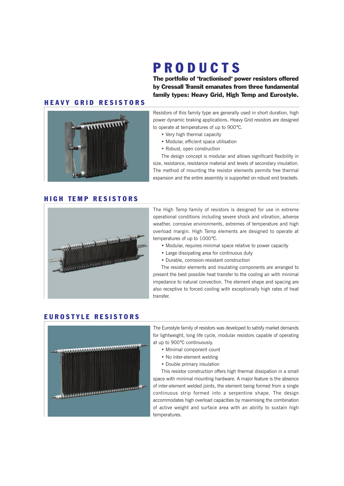# PRODUCTS

The portfolio of "tractionised" power resistors offered by Cressall Transit emanates from three fundamental family types: Heavy Grid, High Temp and Eurostyle.

### HEAVY GRID RESISTORS



#### Resistors of this family type are generally used in short duration, high power dynamic braking applications. Heavy Grid resistors are designed to operate at temperatures of up to 900°C.

- Very high thermal capacity
- Modular, efficient space utilisation
- Robust, open construction

The design concept is modular and allows significant flexibility in size, resistance, resistance material and levels of secondary insulation. The method of mounting the resistor elements permits free thermal expansion and the entire assembly is supported on robust end brackets.

#### HIGH TEMP RESISTORS



The High Temp family of resistors is designed for use in extreme operational conditions including severe shock and vibration, adverse weather, corrosive environments, extremes of temperature and high overload margin. High Temp elements are designed to operate at temperatures of up to 1000°C.

- Modular, requires minimal space relative to power capacity
- Large dissipating area for continuous duty
- Durable, corrosion-resistant construction

The resistor elements and insulating components are arranged to present the best possible heat transfer to the cooling air with minimal impedance to natural convection. The element shape and spacing are also receptive to forced cooling with exceptionally high rates of heat transfer.

#### EUROSTYLE RESISTORS



The Eurostyle family of resistors was developed to satisfy market demands for lightweight, long life cycle, modular resistors capable of operating at up to 900°C continuously.

- Minimal component count
- No inter-element welding
- Double primary insulation

This resistor construction offers high thermal dissipation in a small space with minimal mounting hardware. A major feature is the absence of inter-element welded joints, the element being formed from a single continuous strip formed into a serpentine shape. The design accommodates high overload capacities by maximising the combination of active weight and surface area with an ability to sustain high temperatures.